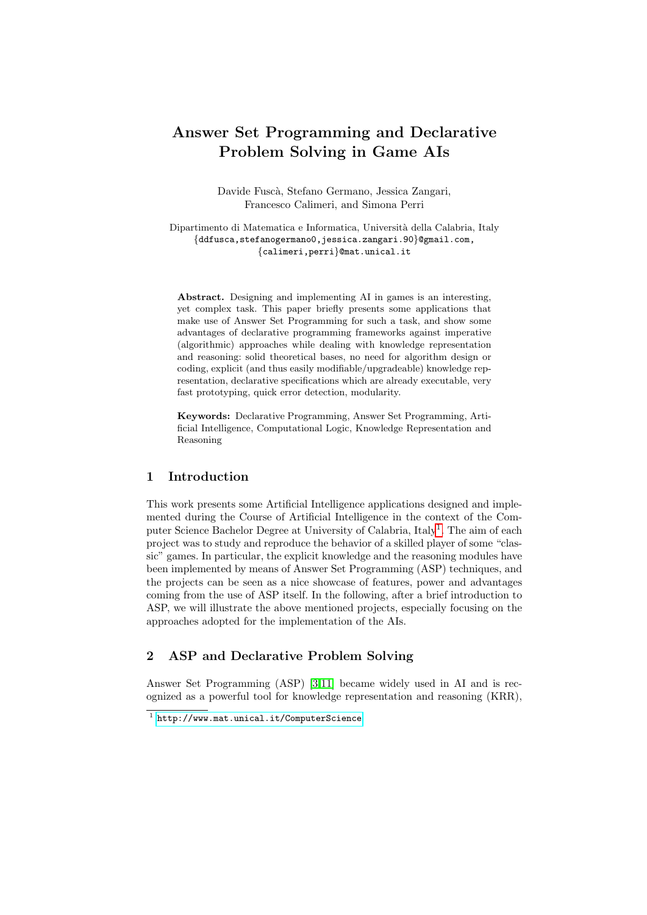# Answer Set Programming and Declarative Problem Solving in Game AIs

Davide Fusc`a, Stefano Germano, Jessica Zangari, Francesco Calimeri, and Simona Perri

Dipartimento di Matematica e Informatica, Università della Calabria, Italy {ddfusca,stefanogermano0,jessica.zangari.90}@gmail.com, {calimeri,perri}@mat.unical.it

Abstract. Designing and implementing AI in games is an interesting, yet complex task. This paper briefly presents some applications that make use of Answer Set Programming for such a task, and show some advantages of declarative programming frameworks against imperative (algorithmic) approaches while dealing with knowledge representation and reasoning: solid theoretical bases, no need for algorithm design or coding, explicit (and thus easily modifiable/upgradeable) knowledge representation, declarative specifications which are already executable, very fast prototyping, quick error detection, modularity.

Keywords: Declarative Programming, Answer Set Programming, Artificial Intelligence, Computational Logic, Knowledge Representation and Reasoning

# 1 Introduction

This work presents some Artificial Intelligence applications designed and implemented during the Course of Artificial Intelligence in the context of the Com-puter Science Bachelor Degree at University of Calabria, Italy<sup>[1](#page-0-0)</sup>. The aim of each project was to study and reproduce the behavior of a skilled player of some "classic" games. In particular, the explicit knowledge and the reasoning modules have been implemented by means of Answer Set Programming (ASP) techniques, and the projects can be seen as a nice showcase of features, power and advantages coming from the use of ASP itself. In the following, after a brief introduction to ASP, we will illustrate the above mentioned projects, especially focusing on the approaches adopted for the implementation of the AIs.

# 2 ASP and Declarative Problem Solving

Answer Set Programming (ASP) [\[3,](#page-6-0)[11\]](#page-7-0) became widely used in AI and is recognized as a powerful tool for knowledge representation and reasoning (KRR),

<span id="page-0-0"></span><sup>1</sup> <http://www.mat.unical.it/ComputerScience>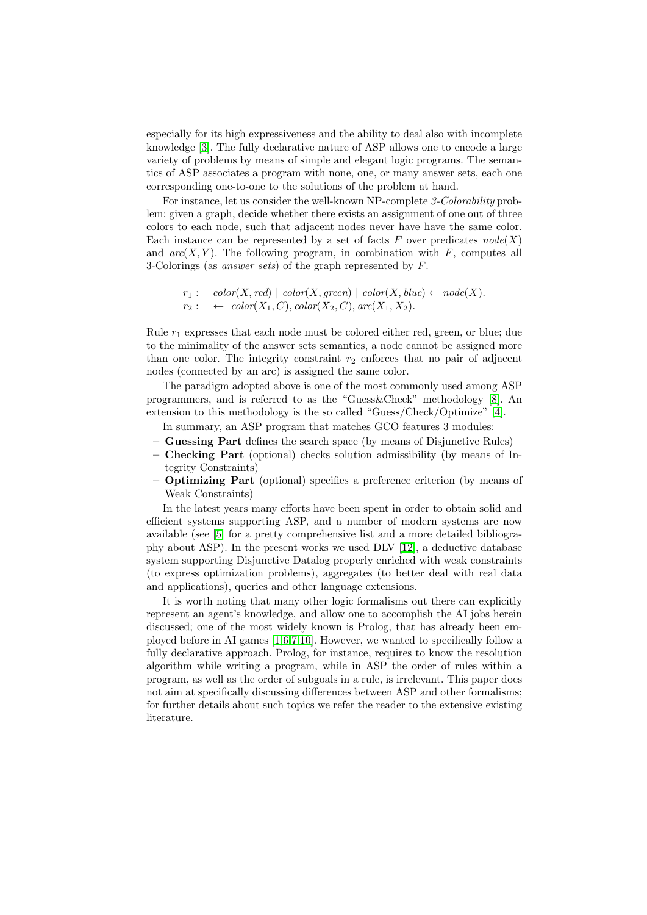especially for its high expressiveness and the ability to deal also with incomplete knowledge [\[3\]](#page-6-0). The fully declarative nature of ASP allows one to encode a large variety of problems by means of simple and elegant logic programs. The semantics of ASP associates a program with none, one, or many answer sets, each one corresponding one-to-one to the solutions of the problem at hand.

For instance, let us consider the well-known NP-complete 3-Colorability problem: given a graph, decide whether there exists an assignment of one out of three colors to each node, such that adjacent nodes never have have the same color. Each instance can be represented by a set of facts F over predicates  $node(X)$ and  $arc(X, Y)$ . The following program, in combination with F, computes all 3-Colorings (as answer sets) of the graph represented by  $F$ .

```
r_1: \quad color(X, red) \mid color(X, green) \mid color(X, blue) \leftarrow node(X).r_2: \leftarrow \text{color}(X_1, C), \text{color}(X_2, C), \text{arc}(X_1, X_2).
```
Rule  $r_1$  expresses that each node must be colored either red, green, or blue; due to the minimality of the answer sets semantics, a node cannot be assigned more than one color. The integrity constraint  $r<sub>2</sub>$  enforces that no pair of adjacent nodes (connected by an arc) is assigned the same color.

The paradigm adopted above is one of the most commonly used among ASP programmers, and is referred to as the "Guess&Check" methodology [\[8\]](#page-7-1). An extension to this methodology is the so called "Guess/Check/Optimize" [\[4\]](#page-6-1).

In summary, an ASP program that matches GCO features 3 modules:

- Guessing Part defines the search space (by means of Disjunctive Rules)
- Checking Part (optional) checks solution admissibility (by means of Integrity Constraints)
- Optimizing Part (optional) specifies a preference criterion (by means of Weak Constraints)

In the latest years many efforts have been spent in order to obtain solid and efficient systems supporting ASP, and a number of modern systems are now available (see [\[5\]](#page-6-2) for a pretty comprehensive list and a more detailed bibliography about ASP). In the present works we used DLV [\[12\]](#page-7-2), a deductive database system supporting Disjunctive Datalog properly enriched with weak constraints (to express optimization problems), aggregates (to better deal with real data and applications), queries and other language extensions.

It is worth noting that many other logic formalisms out there can explicitly represent an agent's knowledge, and allow one to accomplish the AI jobs herein discussed; one of the most widely known is Prolog, that has already been employed before in AI games [\[1,](#page-6-3)[6,](#page-6-4)[7](#page-6-5)[,10\]](#page-7-3). However, we wanted to specifically follow a fully declarative approach. Prolog, for instance, requires to know the resolution algorithm while writing a program, while in ASP the order of rules within a program, as well as the order of subgoals in a rule, is irrelevant. This paper does not aim at specifically discussing differences between ASP and other formalisms; for further details about such topics we refer the reader to the extensive existing literature.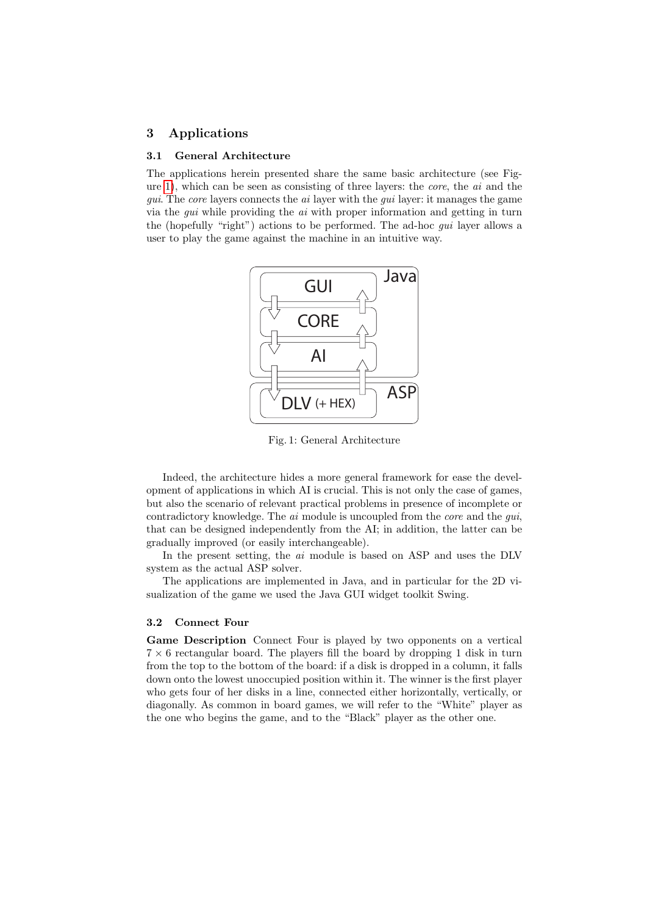# 3 Applications

#### 3.1 General Architecture

<span id="page-2-0"></span>The applications herein presented share the same basic architecture (see Figure [1\)](#page-2-0), which can be seen as consisting of three layers: the core, the ai and the gui. The core layers connects the ai layer with the gui layer: it manages the game via the *gui* while providing the  $ai$  with proper information and getting in turn the (hopefully "right") actions to be performed. The ad-hoc gui layer allows a user to play the game against the machine in an intuitive way.



Fig. 1: General Architecture

Indeed, the architecture hides a more general framework for ease the development of applications in which AI is crucial. This is not only the case of games, but also the scenario of relevant practical problems in presence of incomplete or contradictory knowledge. The *ai* module is uncoupled from the *core* and the *gui*, that can be designed independently from the AI; in addition, the latter can be gradually improved (or easily interchangeable).

In the present setting, the *ai* module is based on ASP and uses the DLV system as the actual ASP solver.

The applications are implemented in Java, and in particular for the 2D visualization of the game we used the Java GUI widget toolkit Swing.

## 3.2 Connect Four

Game Description Connect Four is played by two opponents on a vertical  $7 \times 6$  rectangular board. The players fill the board by dropping 1 disk in turn from the top to the bottom of the board: if a disk is dropped in a column, it falls down onto the lowest unoccupied position within it. The winner is the first player who gets four of her disks in a line, connected either horizontally, vertically, or diagonally. As common in board games, we will refer to the "White" player as the one who begins the game, and to the "Black" player as the other one.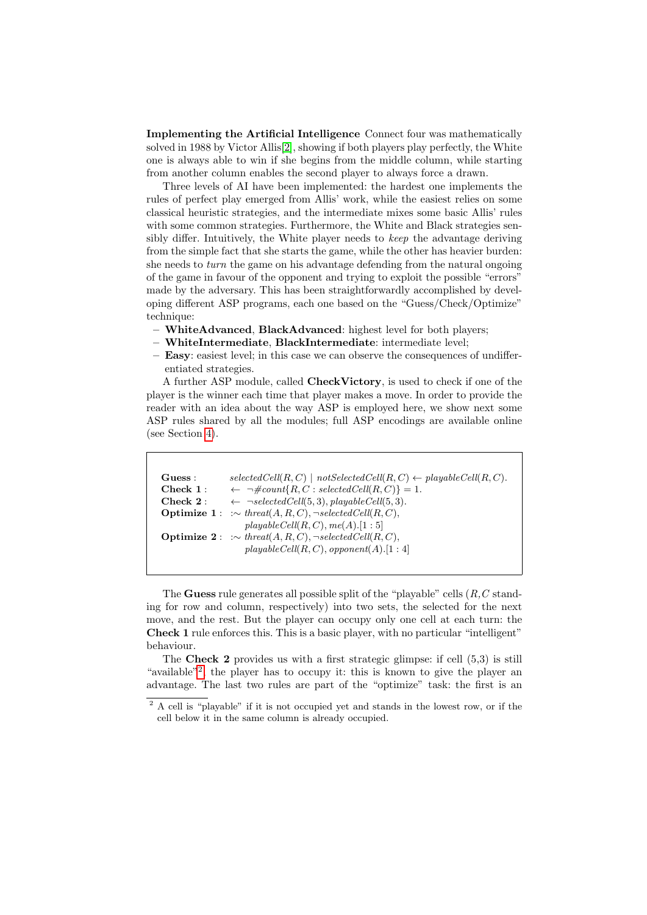Implementing the Artificial Intelligence Connect four was mathematically solved in 1988 by Victor Allis[\[2\]](#page-6-6), showing if both players play perfectly, the White one is always able to win if she begins from the middle column, while starting from another column enables the second player to always force a drawn.

Three levels of AI have been implemented: the hardest one implements the rules of perfect play emerged from Allis' work, while the easiest relies on some classical heuristic strategies, and the intermediate mixes some basic Allis' rules with some common strategies. Furthermore, the White and Black strategies sensibly differ. Intuitively, the White player needs to keep the advantage deriving from the simple fact that she starts the game, while the other has heavier burden: she needs to *turn* the game on his advantage defending from the natural ongoing of the game in favour of the opponent and trying to exploit the possible "errors" made by the adversary. This has been straightforwardly accomplished by developing different ASP programs, each one based on the "Guess/Check/Optimize" technique:

- WhiteAdvanced, BlackAdvanced: highest level for both players;
- WhiteIntermediate, BlackIntermediate: intermediate level;
- Easy: easiest level; in this case we can observe the consequences of undifferentiated strategies.

A further ASP module, called CheckVictory, is used to check if one of the player is the winner each time that player makes a move. In order to provide the reader with an idea about the way ASP is employed here, we show next some ASP rules shared by all the modules; full ASP encodings are available online (see Section [4\)](#page-5-0).

| Guess:     | $selectedCell(R, C) \mid notSelectedCell(R, C) \leftarrow playableCell(R, C).$      |
|------------|-------------------------------------------------------------------------------------|
| Check 1:   | $\leftarrow \neg \text{#count}\{R, C : selectedCell(R, C)\} = 1.$                   |
| Check $2:$ | $\leftarrow$ $\neg selectedCell(5,3), playable Cell(5,3).$                          |
|            | <b>Optimize 1</b> : $\therefore$ threat(A, R, C), $\neg selectedCell(R, C)$ ,       |
|            | playableCell(R, C), me(A).[1:5]                                                     |
|            | <b>Optimize 2</b> : $:\sim \text{thread}(A, R, C), \neg \text{selectedCell}(R, C),$ |
|            | playableCell(R, C), opponent(A).[1:4]                                               |
|            |                                                                                     |

The Guess rule generates all possible split of the "playable" cells  $(R, C \text{ stand}$ ing for row and column, respectively) into two sets, the selected for the next move, and the rest. But the player can occupy only one cell at each turn: the Check 1 rule enforces this. This is a basic player, with no particular "intelligent" behaviour.

The Check 2 provides us with a first strategic glimpse: if cell (5,3) is still "available"<sup>[2](#page-3-0)</sup>, the player has to occupy it: this is known to give the player an advantage. The last two rules are part of the "optimize" task: the first is an

<span id="page-3-0"></span><sup>2</sup> A cell is "playable" if it is not occupied yet and stands in the lowest row, or if the cell below it in the same column is already occupied.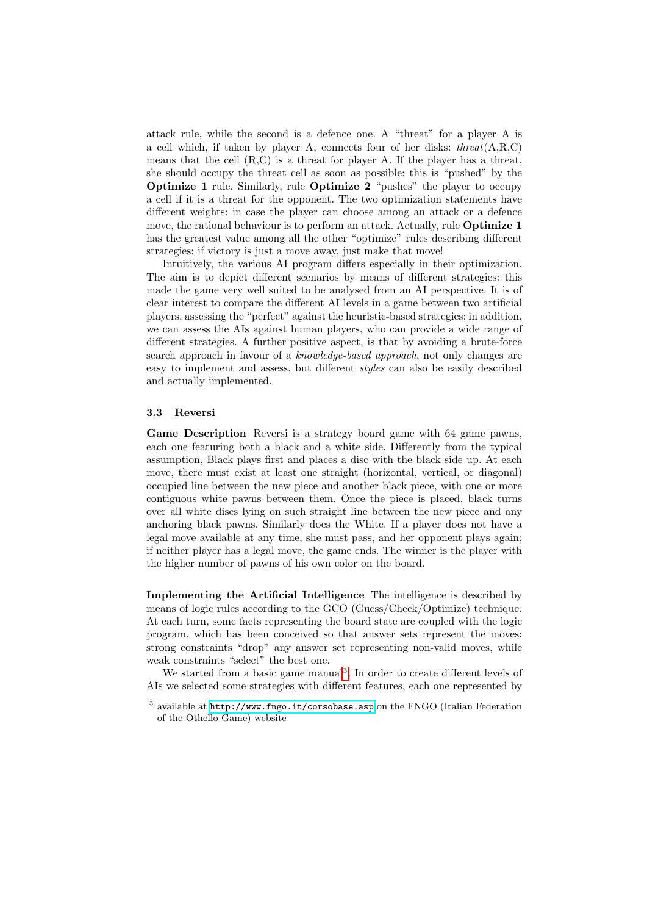attack rule, while the second is a defence one. A "threat" for a player A is a cell which, if taken by player A, connects four of her disks:  $thread(A, R, C)$ means that the cell  $(R, C)$  is a threat for player A. If the player has a threat, she should occupy the threat cell as soon as possible: this is "pushed" by the Optimize 1 rule. Similarly, rule Optimize 2 "pushes" the player to occupy a cell if it is a threat for the opponent. The two optimization statements have different weights: in case the player can choose among an attack or a defence move, the rational behaviour is to perform an attack. Actually, rule **Optimize 1** has the greatest value among all the other "optimize" rules describing different strategies: if victory is just a move away, just make that move!

Intuitively, the various AI program differs especially in their optimization. The aim is to depict different scenarios by means of different strategies: this made the game very well suited to be analysed from an AI perspective. It is of clear interest to compare the different AI levels in a game between two artificial players, assessing the "perfect" against the heuristic-based strategies; in addition, we can assess the AIs against human players, who can provide a wide range of different strategies. A further positive aspect, is that by avoiding a brute-force search approach in favour of a knowledge-based approach, not only changes are easy to implement and assess, but different styles can also be easily described and actually implemented.

## 3.3 Reversi

Game Description Reversi is a strategy board game with 64 game pawns, each one featuring both a black and a white side. Differently from the typical assumption, Black plays first and places a disc with the black side up. At each move, there must exist at least one straight (horizontal, vertical, or diagonal) occupied line between the new piece and another black piece, with one or more contiguous white pawns between them. Once the piece is placed, black turns over all white discs lying on such straight line between the new piece and any anchoring black pawns. Similarly does the White. If a player does not have a legal move available at any time, she must pass, and her opponent plays again; if neither player has a legal move, the game ends. The winner is the player with the higher number of pawns of his own color on the board.

Implementing the Artificial Intelligence The intelligence is described by means of logic rules according to the GCO (Guess/Check/Optimize) technique. At each turn, some facts representing the board state are coupled with the logic program, which has been conceived so that answer sets represent the moves: strong constraints "drop" any answer set representing non-valid moves, while weak constraints "select" the best one.

We started from a basic game manual<sup>[3](#page-4-0)</sup>. In order to create different levels of AIs we selected some strategies with different features, each one represented by

<span id="page-4-0"></span> $^3$  available at  $\texttt{http://www.fngo.it/corsobase.asp}$  $\texttt{http://www.fngo.it/corsobase.asp}$  $\texttt{http://www.fngo.it/corsobase.asp}$  on the FNGO (Italian Federation of the Othello Game) website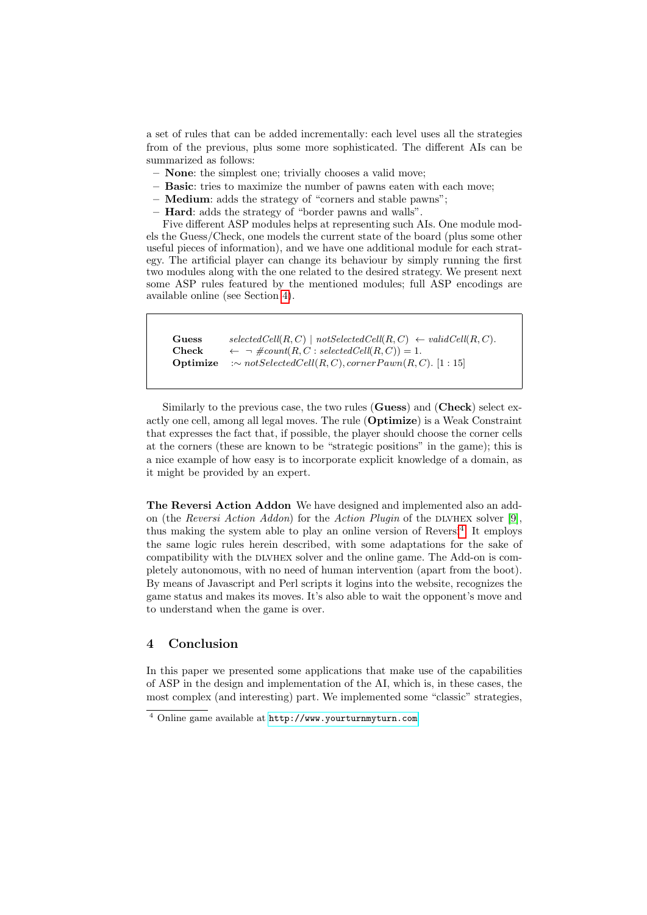a set of rules that can be added incrementally: each level uses all the strategies from of the previous, plus some more sophisticated. The different AIs can be summarized as follows:

- None: the simplest one; trivially chooses a valid move;
- Basic: tries to maximize the number of pawns eaten with each move;
- Medium: adds the strategy of "corners and stable pawns";
- Hard: adds the strategy of "border pawns and walls".

Five different ASP modules helps at representing such AIs. One module models the Guess/Check, one models the current state of the board (plus some other useful pieces of information), and we have one additional module for each strategy. The artificial player can change its behaviour by simply running the first two modules along with the one related to the desired strategy. We present next some ASP rules featured by the mentioned modules; full ASP encodings are available online (see Section [4\)](#page-5-0).

```
Guess selectedCell(R, C) | notSelectedCell(R, C) \leftarrow validCell(R, C).
Check \leftarrow \neg \text{#count}(R, C : selectedCell(R, C)) = 1.Optimize :∼ notSelectedCell(R, C), cornerPawn(R, C). [1 : 15]
```
Similarly to the previous case, the two rules (Guess) and (Check) select exactly one cell, among all legal moves. The rule (Optimize) is a Weak Constraint that expresses the fact that, if possible, the player should choose the corner cells at the corners (these are known to be "strategic positions" in the game); this is a nice example of how easy is to incorporate explicit knowledge of a domain, as it might be provided by an expert.

The Reversi Action Addon We have designed and implemented also an add-on (the Reversi Action Addon) for the Action Plugin of the DLVHEX solver [\[9\]](#page-7-4), thus making the system able to play an online version of Reversi<sup>[4](#page-5-1)</sup>. It employs the same logic rules herein described, with some adaptations for the sake of compatibility with the DLVHEX solver and the online game. The Add-on is completely autonomous, with no need of human intervention (apart from the boot). By means of Javascript and Perl scripts it logins into the website, recognizes the game status and makes its moves. It's also able to wait the opponent's move and to understand when the game is over.

## <span id="page-5-0"></span>4 Conclusion

In this paper we presented some applications that make use of the capabilities of ASP in the design and implementation of the AI, which is, in these cases, the most complex (and interesting) part. We implemented some "classic" strategies,

<span id="page-5-1"></span><sup>4</sup> Online game available at <http://www.yourturnmyturn.com>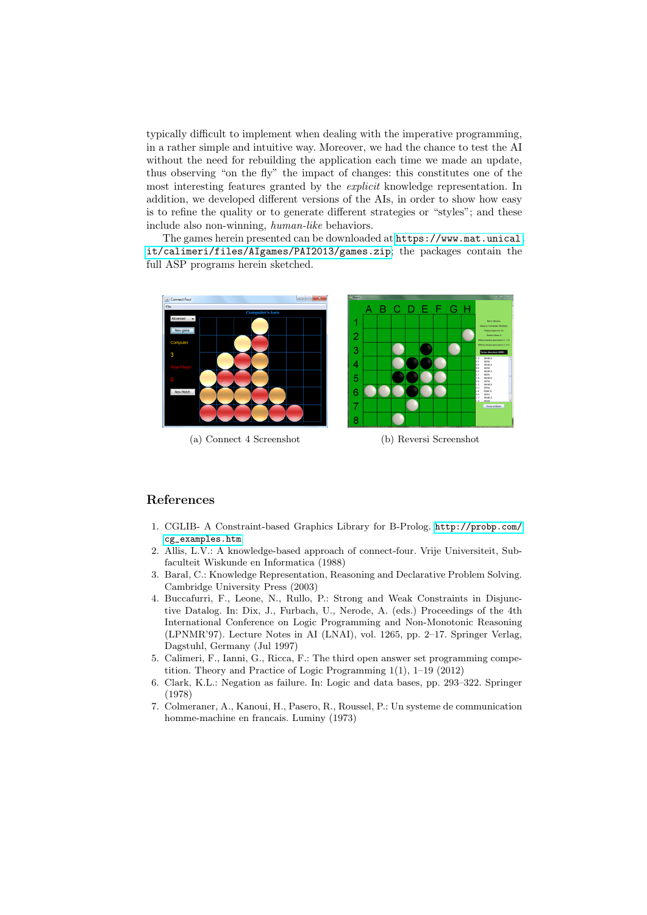typically difficult to implement when dealing with the imperative programming, in a rather simple and intuitive way. Moreover, we had the chance to test the AI without the need for rebuilding the application each time we made an update, thus observing "on the fly" the impact of changes: this constitutes one of the most interesting features granted by the *explicit* knowledge representation. In addition, we developed different versions of the AIs, in order to show how easy is to refine the quality or to generate different strategies or "styles"; and these include also non-winning, human-like behaviors.

The games herein presented can be downloaded at [https://www.mat.unical.](https://www.mat.unical.it/calimeri/files/AIgames/PAI2013/games.zip) [it/calimeri/files/AIgames/PAI2013/games.zip](https://www.mat.unical.it/calimeri/files/AIgames/PAI2013/games.zip); the packages contain the full ASP programs herein sketched.



(a) Connect 4 Screenshot (b) Reversi Screenshot

## References

- <span id="page-6-3"></span>1. CGLIB- A Constraint-based Graphics Library for B-Prolog. [http://probp.com/](http://probp.com/cg_examples.htm) [cg\\_examples.htm](http://probp.com/cg_examples.htm)
- <span id="page-6-6"></span>2. Allis, L.V.: A knowledge-based approach of connect-four. Vrije Universiteit, Subfaculteit Wiskunde en Informatica (1988)
- <span id="page-6-0"></span>3. Baral, C.: Knowledge Representation, Reasoning and Declarative Problem Solving. Cambridge University Press (2003)
- <span id="page-6-1"></span>4. Buccafurri, F., Leone, N., Rullo, P.: Strong and Weak Constraints in Disjunctive Datalog. In: Dix, J., Furbach, U., Nerode, A. (eds.) Proceedings of the 4th International Conference on Logic Programming and Non-Monotonic Reasoning (LPNMR'97). Lecture Notes in AI (LNAI), vol. 1265, pp. 2–17. Springer Verlag, Dagstuhl, Germany (Jul 1997)
- <span id="page-6-2"></span>5. Calimeri, F., Ianni, G., Ricca, F.: The third open answer set programming competition. Theory and Practice of Logic Programming 1(1), 1–19 (2012)
- <span id="page-6-4"></span>6. Clark, K.L.: Negation as failure. In: Logic and data bases, pp. 293–322. Springer (1978)
- <span id="page-6-5"></span>7. Colmeraner, A., Kanoui, H., Pasero, R., Roussel, P.: Un systeme de communication homme-machine en francais. Luminy (1973)